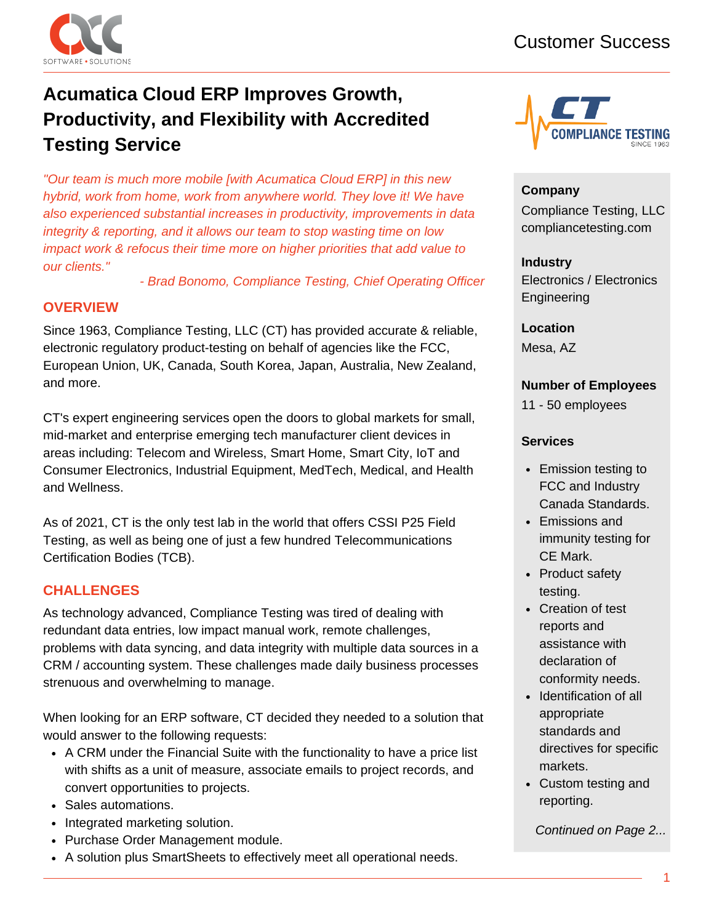

# **Acumatica Cloud ERP Improves Growth, Productivity, and Flexibility with Accredited Testing Service**

*"Our team is much more mobile [with Acumatica Cloud ERP] in this new hybrid, work from home, work from anywhere world. They love it! We have also experienced substantial increases in productivity, improvements in data integrity & reporting, and it allows our team to stop wasting time on low impact work & refocus their time more on higher priorities that add value to our clients."*

*- Brad Bonomo, Compliance Testing, Chief Operating Officer*

## **OVERVIEW**

Since 1963, Compliance Testing, LLC (CT) has provided accurate & reliable, electronic regulatory product-testing on behalf of agencies like the FCC, European Union, UK, Canada, South Korea, Japan, Australia, New Zealand, and more.

CT's expert engineering services open the doors to global markets for small, mid-market and enterprise emerging tech manufacturer client devices in areas including: Telecom and Wireless, Smart Home, Smart City, IoT and Consumer Electronics, Industrial Equipment, MedTech, Medical, and Health and Wellness.

As of 2021, CT is the only test lab in the world that offers CSSI P25 Field Testing, as well as being one of just a few hundred Telecommunications Certification Bodies (TCB).

## **CHALLENGES**

As technology advanced, Compliance Testing was tired of dealing with redundant data entries, low impact manual work, remote challenges, problems with data syncing, and data integrity with multiple data sources in a CRM / accounting system. These challenges made daily business processes strenuous and overwhelming to manage.

When looking for an ERP software, CT decided they needed to a solution that would answer to the following requests:

- A CRM under the Financial Suite with the functionality to have a price list with shifts as a unit of measure, associate emails to project records, and convert opportunities to projects.
- Sales automations.
- Integrated marketing solution.
- Purchase Order Management module.
- A solution plus SmartSheets to effectively meet all operational needs.



#### **Company**

Compliance Testing, LLC compliancetesting.com

## **Industry**

Electronics / Electronics Engineering

**Location** Mesa, AZ

### **Number of Employees**

11 - 50 employees

#### **Services**

- Emission testing to FCC and Industry Canada Standards.
- Emissions and immunity testing for CE Mark.
- Product safety testing.
- Creation of test reports and assistance with declaration of conformity needs.
- Identification of all appropriate standards and directives for specific markets.
- Custom testing and reporting.

*Continued on Page 2...*